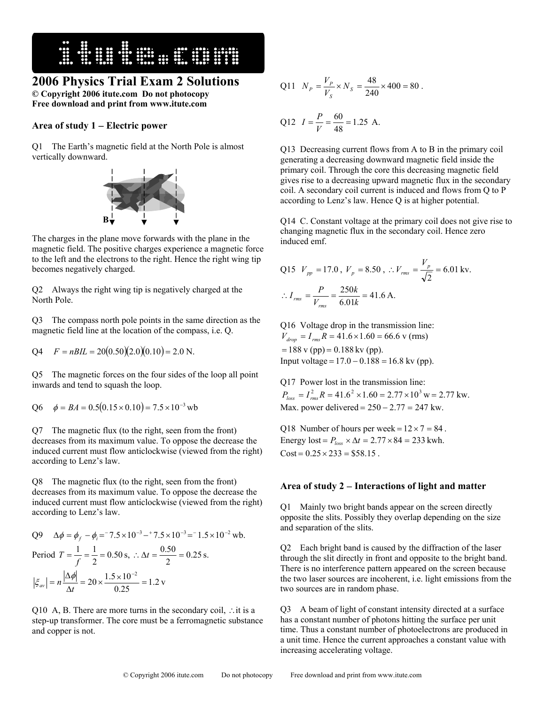

## **2006 Physics Trial Exam 2 Solutions**

**© Copyright 2006 itute.com Do not photocopy Free download and print from www.itute.com** 

## **Area of study 1** − **Electric power**

Q1 The Earth's magnetic field at the North Pole is almost vertically downward.



The charges in the plane move forwards with the plane in the magnetic field. The positive charges experience a magnetic force to the left and the electrons to the right. Hence the right wing tip becomes negatively charged.

Q2 Always the right wing tip is negatively charged at the North Pole.

Q3 The compass north pole points in the same direction as the magnetic field line at the location of the compass, i.e. Q.

$$
Q4 \tF = nBIL = 20(0.50)(2.0)(0.10) = 2.0 \text{ N}.
$$

Q5 The magnetic forces on the four sides of the loop all point inwards and tend to squash the loop.

Q6  $\phi = BA = 0.5(0.15 \times 0.10) = 7.5 \times 10^{-3}$  wb

Q7 The magnetic flux (to the right, seen from the front) decreases from its maximum value. To oppose the decrease the induced current must flow anticlockwise (viewed from the right) according to Lenz's law.

Q8 The magnetic flux (to the right, seen from the front) decreases from its maximum value. To oppose the decrease the induced current must flow anticlockwise (viewed from the right) according to Lenz's law.

Q9 
$$
\Delta \phi = \phi_f - \phi_i = 7.5 \times 10^{-3} - 7.5 \times 10^{-3} = 1.5 \times 10^{-2}
$$
 wb.  
\nPeriod  $T = \frac{1}{f} = \frac{1}{2} = 0.50$  s,  $\therefore \Delta t = \frac{0.50}{2} = 0.25$  s.  
\n $|\xi_{av}| = n \frac{|\Delta \phi|}{\Delta t} = 20 \times \frac{1.5 \times 10^{-2}}{0.25} = 1.2$  v

Q10 A, B. There are more turns in the secondary coil, ∴it is a step-up transformer. The core must be a ferromagnetic substance and copper is not.

Q11 
$$
N_p = \frac{V_p}{V_s} \times N_s = \frac{48}{240} \times 400 = 80
$$
.

Q12 
$$
I = \frac{P}{V} = \frac{60}{48} = 1.25
$$
 A.

Q13 Decreasing current flows from A to B in the primary coil generating a decreasing downward magnetic field inside the primary coil. Through the core this decreasing magnetic field gives rise to a decreasing upward magnetic flux in the secondary coil. A secondary coil current is induced and flows from Q to P according to Lenz's law. Hence Q is at higher potential.

Q14 C. Constant voltage at the primary coil does not give rise to changing magnetic flux in the secondary coil. Hence zero induced emf.

Q15 
$$
V_{pp} = 17.0
$$
,  $V_p = 8.50$ ,  $\therefore V_{rms} = \frac{V_p}{\sqrt{2}} = 6.01 \text{ kv.}$   

$$
\therefore I_{rms} = \frac{P}{V_{rms}} = \frac{250k}{6.01k} = 41.6 \text{ A.}
$$

Q16 Voltage drop in the transmission line:  $V_{drop} = I_{rms} R = 41.6 \times 1.60 = 66.6$  *v* (rms)  $= 188$  v (pp)  $= 0.188$  kv (pp). Input voltage =  $17.0 - 0.188 = 16.8$  kv (pp).

Q17 Power lost in the transmission line:<br> $P_{loss} = I_{rms}^2 R = 41.6^2 \times 1.60 = 2.77 \times 10^3 \text{ w} = 2.77 \text{ kW}.$ 

Max. power delivered =  $250 - 2.77 = 247$  kw.

Q18 Number of hours per week =  $12 \times 7 = 84$ . Energy lost =  $P_{loss} \times \Delta t = 2.77 \times 84 = 233$  kwh.  $Cost = 0.25 \times 233 = $58.15$ .

## **Area of study 2** − **Interactions of light and matter**

Q1 Mainly two bright bands appear on the screen directly opposite the slits. Possibly they overlap depending on the size and separation of the slits.

Q2 Each bright band is caused by the diffraction of the laser through the slit directly in front and opposite to the bright band. There is no interference pattern appeared on the screen because the two laser sources are incoherent, i.e. light emissions from the two sources are in random phase.

Q3 A beam of light of constant intensity directed at a surface has a constant number of photons hitting the surface per unit time. Thus a constant number of photoelectrons are produced in a unit time. Hence the current approaches a constant value with increasing accelerating voltage.